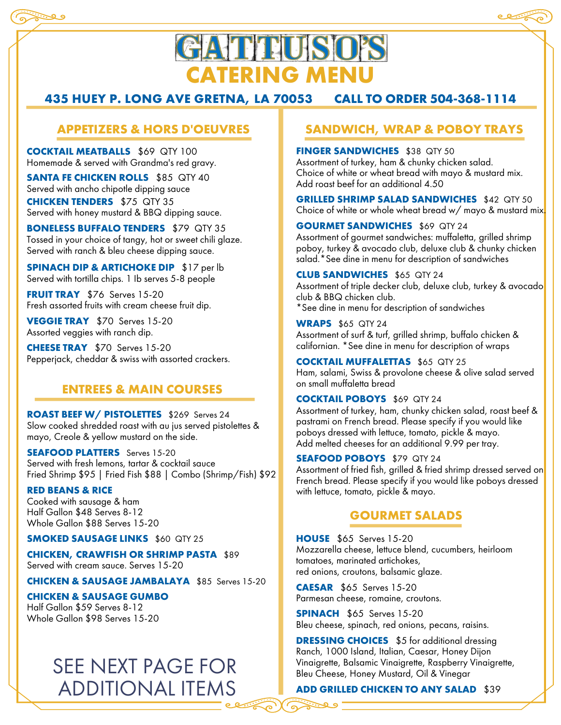



# **GATTIUSO'S CATERING MENU**

## **435 HUEY P. LONG AVE GRETNA, LA 70053 CALL TO ORDER 504-368-1114**

## **APPETIZERS & HORS D'OEUVRES**

**COCKTAIL MEATBALLS** \$69 QTY 100 Homemade & served with Grandma's red gravy.

**SANTA FE CHICKEN ROLLS** \$85 QTY 40 Served with ancho chipotle dipping sauce **CHICKEN TENDERS** \$75 QTY 35 Served with honey mustard & BBQ dipping sauce.

**BONELESS BUFFALO TENDERS** \$79 QTY 35 Tossed in your choice of tangy, hot or sweet chili glaze. Served with ranch & bleu cheese dipping sauce.

**SPINACH DIP & ARTICHOKE DIP** \$17 per lb Served with tortilla chips. 1 Ib serves 5-8 people

**FRUIT TRAY** \$76 Serves 15-20 Fresh assorted fruits with cream cheese fruit dip.

**VEGGIE TRAY** \$70 Serves 15-20 Assorted veggies with ranch dip.

**CHEESE TRAY** \$70 Serves 15-20 Pepperjack, cheddar & swiss with assorted crackers.

## **ENTREES & MAIN COURSES**

**ROAST BEEF W/ PISTOLETTES** \$269 Serves 24 Slow cooked shredded roast with au jus served pistolettes & mayo, Creole & yellow mustard on the side.

**SEAFOOD PLATTERS** Serves 15-20 Served with fresh lemons, tartar & cocktail sauce Fried Shrimp \$95 | Fried Fish \$88 | Combo (Shrimp/Fish) \$92

**RED BEANS & RICE** Cooked with sausage & ham Half Gallon \$48 Serves 8-12 Whole Gallon \$88 Serves 15-20

**SMOKED SAUSAGE LINKS** \$60 QTY 25

**CHICKEN, CRAWFISH OR SHRIMP PASTA** \$89 Served with cream sauce. Serves 15-20

**CHICKEN & SAUSAGE JAMBALAYA** \$85 Serves 15-20

#### **CHICKEN & SAUSAGE GUMBO**

Half Gallon \$59 Serves 8-12 Whole Gallon \$98 Serves 15-20

## SEE NEXT PAGE FOR ADDITIONAL ITEMS

## **SANDWICH, WRAP & POBOY TRAYS**

**FINGER SANDWICHES** \$38 QTY 50 Assortment of turkey, ham & chunky chicken salad. Choice of white or wheat bread with mayo & mustard mix. Add roast beef for an additional 4.50

**GRILLED SHRIMP SALAD SANDWICHES** \$42 QTY 50 Choice of white or whole wheat bread w/ mayo & mustard mix.

**GOURMET SANDWICHES** \$69 QTY 24 Assortment of gourmet sandwiches: muffaletta, grilled shrimp poboy, turkey & avocado club, deluxe club & chunky chicken salad.\*See dine in menu for description of sandwiches

**CLUB SANDWICHES** \$65 QTY 24 Assortment of triple decker club, deluxe club, turkey & avocado club & BBQ chicken club. \*See dine in menu for description of sandwiches

**WRAPS** \$65 QTY 24 Assortment of surf & turf, grilled shrimp, buffalo chicken & californian. \*See dine in menu for description of wraps

**COCKTAIL MUFFALETTAS** \$65 QTY 25 Ham, salami, Swiss & provolone cheese & olive salad served on small muffaletta bread

#### **COCKTAIL POBOYS** \$69 QTY 24

Assortment of turkey, ham, chunky chicken salad, roast beef & pastrami on French bread. Please specify if you would like poboys dressed with lettuce, tomato, pickle & mayo. Add melted cheeses for an additional 9.99 per tray.

#### **SEAFOOD POBOYS** \$79 QTY 24

Assortment of fried fish, grilled & fried shrimp dressed served on French bread. Please specify if you would like poboys dressed with lettuce, tomato, pickle & mayo.

#### **GOURMET SALADS**

**HOUSE** \$65 Serves 15-20 Mozzarella cheese, lettuce blend, cucumbers, heirloom tomatoes, marinated artichokes, red onions, croutons, balsamic glaze.

**CAESAR** \$65 Serves 15-20 Parmesan cheese, romaine, croutons.

**SPINACH** \$65 Serves 15-20 Bleu cheese, spinach, red onions, pecans, raisins.

**DRESSING CHOICES** \$5 for additional dressing Ranch, 1000 Island, Italian, Caesar, Honey Dijon Vinaigrette, Balsamic Vinaigrette, Raspberry Vinaigrette, Bleu Cheese, Honey Mustard, Oil & Vinegar

**ADD GRILLED CHICKEN TO ANY SALAD** \$39